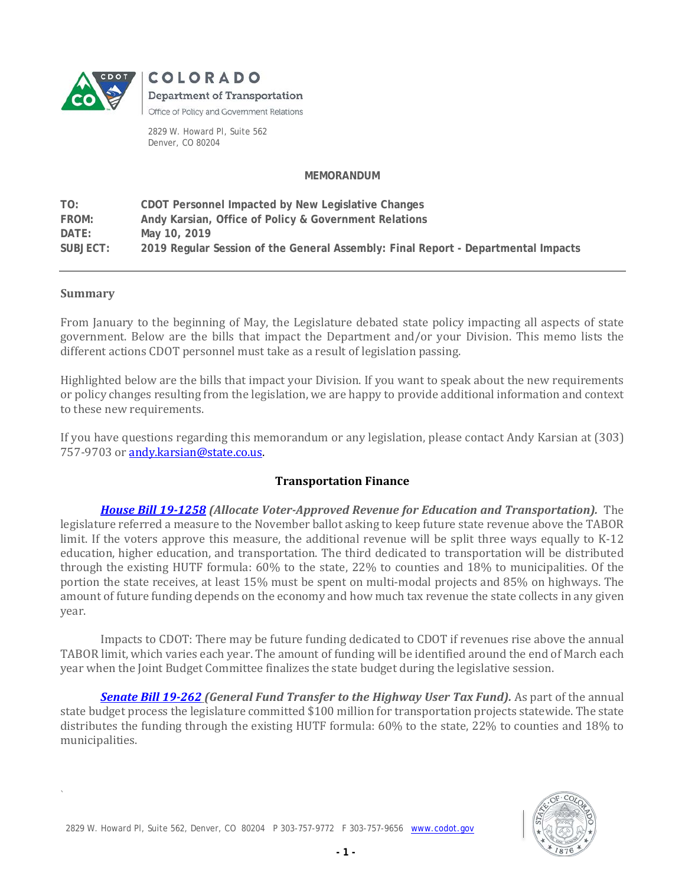

COLORADO **Department of Transportation** Office of Policy and Government Relations

2829 W. Howard Pl, Suite 562 Denver, CO 80204

#### **MEMORANDUM**

**TO: CDOT Personnel Impacted by New Legislative Changes FROM: Andy Karsian, Office of Policy & Government Relations DATE: May 10, 2019 SUBJECT: 2019 Regular Session of the General Assembly: Final Report - Departmental Impacts**

#### **Summary**

`

From January to the beginning of May, the Legislature debated state policy impacting all aspects of state government. Below are the bills that impact the Department and/or your Division. This memo lists the different actions CDOT personnel must take as a result of legislation passing.

Highlighted below are the bills that impact your Division. If you want to speak about the new requirements or policy changes resulting from the legislation, we are happy to provide additional information and context to these new requirements.

If you have questions regarding this memorandum or any legislation, please contact Andy Karsian at (303) 757-9703 o[r andy.karsian@state.co.us.](mailto:andy.karsian@state.co.us)

### **Transportation Finance**

*House Bill 19-1258 (Allocate Voter-Approved Revenue for Education and Transportation).* The legislature referred a measure to the November ballot asking to keep future state revenue above the TABOR limit. If the voters approve this measure, the additional revenue will be split three ways equally to K-12 education, higher education, and transportation. The third dedicated to transportation will be distributed through the existing HUTF formula: 60% to the state, 22% to counties and 18% to municipalities. Of the portion the state receives, at least 15% must be spent on multi-modal projects and 85% on highways. The amount of future funding depends on the economy and how much tax revenue the state collects in any given year.

Impacts to CDOT: There may be future funding dedicated to CDOT if revenues rise above the annual TABOR limit, which varies each year. The amount of funding will be identified around the end of March each year when the Joint Budget Committee finalizes the state budget during the legislative session.

*[Senate Bill 19-262](http://leg.colorado.gov/sites/default/files/documents/2019A/bills/2019a_262_01.pdf) (General Fund Transfer to the Highway User Tax Fund).* As part of the annual state budget process the legislature committed \$100 million for transportation projects statewide. The state distributes the funding through the existing HUTF formula: 60% to the state, 22% to counties and 18% to municipalities.



2829 W. Howard Pl, Suite 562, Denver, CO 80204 P 303-757-9772 F 303-757-9656 [www.codot.gov](http://www.codot.gov/)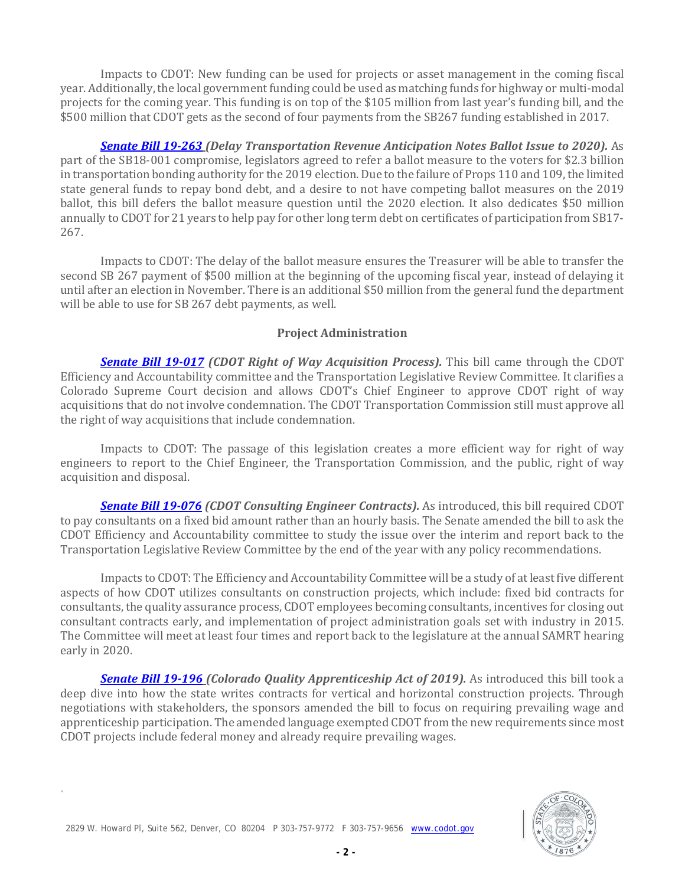Impacts to CDOT: New funding can be used for projects or asset management in the coming fiscal year. Additionally, the local government funding could be used as matching funds for highway or multi-modal projects for the coming year. This funding is on top of the \$105 million from last year's funding bill, and the \$500 million that CDOT gets as the second of four payments from the SB267 funding established in 2017.

*[Senate Bill 19-263](http://leg.colorado.gov/bills/sb19-263) (Delay Transportation Revenue Anticipation Notes Ballot Issue to 2020).* As part of the SB18-001 compromise, legislators agreed to refer a ballot measure to the voters for \$2.3 billion in transportation bonding authority for the 2019 election. Due to the failure of Props 110 and 109, the limited state general funds to repay bond debt, and a desire to not have competing ballot measures on the 2019 ballot, this bill defers the ballot measure question until the 2020 election. It also dedicates \$50 million annually to CDOT for 21 years to help pay for other long term debt on certificates of participation from SB17- 267.

Impacts to CDOT: The delay of the ballot measure ensures the Treasurer will be able to transfer the second SB 267 payment of \$500 million at the beginning of the upcoming fiscal year, instead of delaying it until after an election in November. There is an additional \$50 million from the general fund the department will be able to use for SB 267 debt payments, as well.

### **Project Administration**

*Senate Bill 19-017 (CDOT Right of Way Acquisition Process).* This bill came through the CDOT Efficiency and Accountability committee and the Transportation Legislative Review Committee. It clarifies a Colorado Supreme Court decision and allows CDOT's Chief Engineer to approve CDOT right of way acquisitions that do not involve condemnation. The CDOT Transportation Commission still must approve all the right of way acquisitions that include condemnation.

Impacts to CDOT: The passage of this legislation creates a more efficient way for right of way engineers to report to the Chief Engineer, the Transportation Commission, and the public, right of way acquisition and disposal.

*[Senate Bill 19-076](http://leg.colorado.gov/bills/sb19-076) (CDOT Consulting Engineer Contracts).* As introduced, this bill required CDOT to pay consultants on a fixed bid amount rather than an hourly basis. The Senate amended the bill to ask the CDOT Efficiency and Accountability committee to study the issue over the interim and report back to the Transportation Legislative Review Committee by the end of the year with any policy recommendations.

Impacts to CDOT: The Efficiency and Accountability Committee will be a study of at least five different aspects of how CDOT utilizes consultants on construction projects, which include: fixed bid contracts for consultants, the quality assurance process, CDOT employees becoming consultants, incentives for closing out consultant contracts early, and implementation of project administration goals set with industry in 2015. The Committee will meet at least four times and report back to the legislature at the annual SAMRT hearing early in 2020.

*[Senate Bill 19-196](http://leg.colorado.gov/bills/sb19-196) (Colorado Quality Apprenticeship Act of 2019).* As introduced this bill took a deep dive into how the state writes contracts for vertical and horizontal construction projects. Through negotiations with stakeholders, the sponsors amended the bill to focus on requiring prevailing wage and apprenticeship participation. The amended language exempted CDOT from the new requirements since most CDOT projects include federal money and already require prevailing wages.



`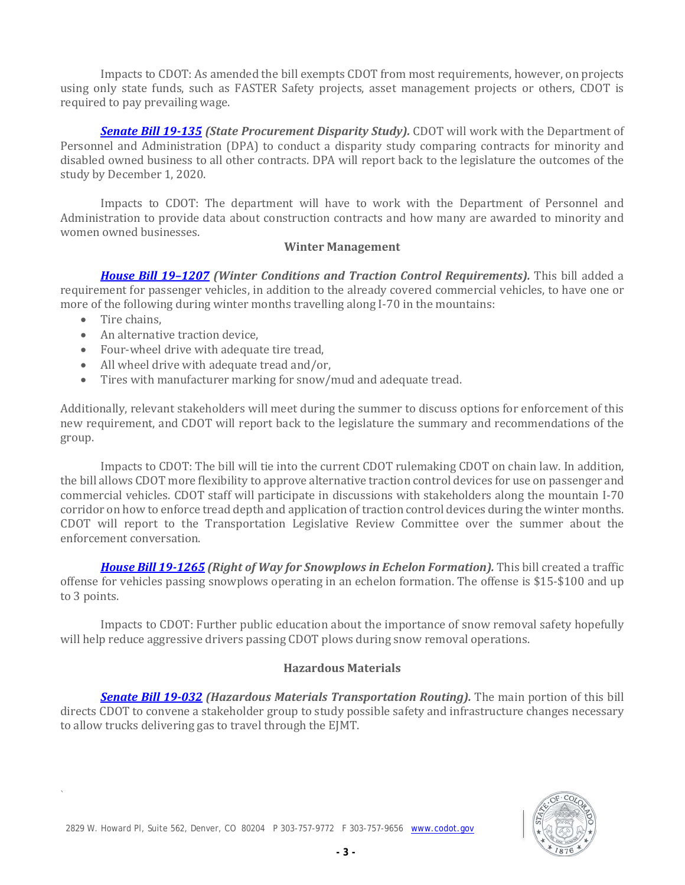Impacts to CDOT: As amended the bill exempts CDOT from most requirements, however, on projects using only state funds, such as FASTER Safety projects, asset management projects or others, CDOT is required to pay prevailing wage.

*[Senate Bill 19-135](http://leg.colorado.gov/bills/sb19-135) (State Procurement Disparity Study).* CDOT will work with the Department of Personnel and Administration (DPA) to conduct a disparity study comparing contracts for minority and disabled owned business to all other contracts. DPA will report back to the legislature the outcomes of the study by December 1, 2020.

Impacts to CDOT: The department will have to work with the Department of Personnel and Administration to provide data about construction contracts and how many are awarded to minority and women owned businesses.

### **Winter Management**

*[House Bill 19–1207](http://leg.colorado.gov/bills/hb19-1207) (Winter Conditions and Traction Control Requirements).* This bill added a requirement for passenger vehicles, in addition to the already covered commercial vehicles, to have one or more of the following during winter months travelling along I-70 in the mountains:

• Tire chains,

`

- An alternative traction device,
- Four-wheel drive with adequate tire tread,
- All wheel drive with adequate tread and/or,<br>• Tires with manufacturer marking for snow/
- Tires with manufacturer marking for snow/mud and adequate tread.

Additionally, relevant stakeholders will meet during the summer to discuss options for enforcement of this new requirement, and CDOT will report back to the legislature the summary and recommendations of the group.

Impacts to CDOT: The bill will tie into the current CDOT rulemaking CDOT on chain law. In addition, the bill allows CDOT more flexibility to approve alternative traction control devices for use on passenger and commercial vehicles. CDOT staff will participate in discussions with stakeholders along the mountain I-70 corridor on how to enforce tread depth and application of traction control devices during the winter months. CDOT will report to the Transportation Legislative Review Committee over the summer about the enforcement conversation.

*[House Bill 19-1265](http://leg.colorado.gov/bills/hb19-1265) (Right of Way for Snowplows in Echelon Formation).* This bill created a traffic offense for vehicles passing snowplows operating in an echelon formation. The offense is \$15-\$100 and up to 3 points.

Impacts to CDOT: Further public education about the importance of snow removal safety hopefully will help reduce aggressive drivers passing CDOT plows during snow removal operations.

## **Hazardous Materials**

*[Senate Bill 19-032](http://leg.colorado.gov/sites/default/files/2019a_032_signed.pdf) (Hazardous Materials Transportation Routing).* The main portion of this bill directs CDOT to convene a stakeholder group to study possible safety and infrastructure changes necessary to allow trucks delivering gas to travel through the EJMT.

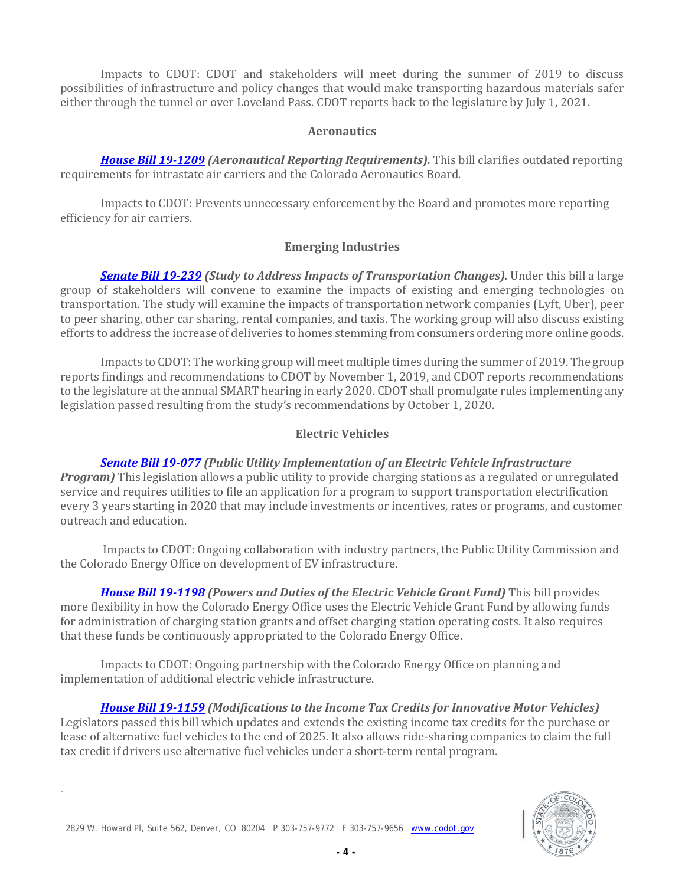Impacts to CDOT: CDOT and stakeholders will meet during the summer of 2019 to discuss possibilities of infrastructure and policy changes that would make transporting hazardous materials safer either through the tunnel or over Loveland Pass. CDOT reports back to the legislature by July 1, 2021.

### **Aeronautics**

*[House Bill 19-1209](http://leg.colorado.gov/sites/default/files/2019a_1209_signed.pdf) (Aeronautical Reporting Requirements).* This bill clarifies outdated reporting requirements for intrastate air carriers and the Colorado Aeronautics Board.

Impacts to CDOT: Prevents unnecessary enforcement by the Board and promotes more reporting efficiency for air carriers.

## **Emerging Industries**

*[Senate Bill 19-239](http://leg.colorado.gov/bills/sb19-239) (Study to Address Impacts of Transportation Changes).* Under this bill a large group of stakeholders will convene to examine the impacts of existing and emerging technologies on transportation. The study will examine the impacts of transportation network companies (Lyft, Uber), peer to peer sharing, other car sharing, rental companies, and taxis. The working group will also discuss existing efforts to address the increase of deliveries to homes stemming from consumers ordering more online goods.

Impacts to CDOT: The working group will meet multiple times during the summer of 2019. The group reports findings and recommendations to CDOT by November 1, 2019, and CDOT reports recommendations to the legislature at the annual SMART hearing in early 2020. CDOT shall promulgate rules implementing any legislation passed resulting from the study's recommendations by October 1, 2020.

# **Electric Vehicles**

## *[Senate Bill 19-077](http://leg.colorado.gov/sites/default/files/documents/2019A/bills/2019a_077_rer.pdf) (Public Utility Implementation of an Electric Vehicle Infrastructure*

*Program*) This legislation allows a public utility to provide charging stations as a regulated or unregulated service and requires utilities to file an application for a program to support transportation electrification every 3 years starting in 2020 that may include investments or incentives, rates or programs, and customer outreach and education.

Impacts to CDOT: Ongoing collaboration with industry partners, the Public Utility Commission and the Colorado Energy Office on development of EV infrastructure.

*[House Bill 19-1198](http://leg.colorado.gov/sites/default/files/2019a_1198_signed.pdf) (Powers and Duties of the Electric Vehicle Grant Fund)* This bill provides more flexibility in how the Colorado Energy Office uses the Electric Vehicle Grant Fund by allowing funds for administration of charging station grants and offset charging station operating costs. It also requires that these funds be continuously appropriated to the Colorado Energy Office.

Impacts to CDOT: Ongoing partnership with the Colorado Energy Office on planning and implementation of additional electric vehicle infrastructure.

*[House Bill 19-1159](http://leg.colorado.gov/sites/default/files/documents/2019A/bills/2019a_1159_rer.pdf) (Modifications to the Income Tax Credits for Innovative Motor Vehicles)* Legislators passed this bill which updates and extends the existing income tax credits for the purchase or lease of alternative fuel vehicles to the end of 2025. It also allows ride-sharing companies to claim the full tax credit if drivers use alternative fuel vehicles under a short-term rental program.



`